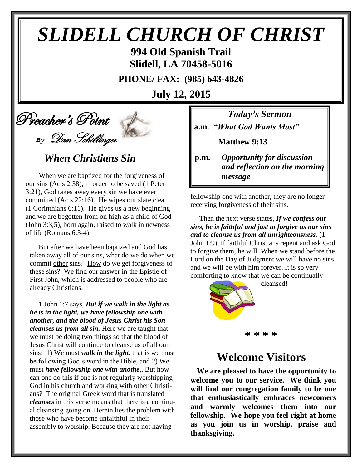# *SLIDELL CHURCH OF CHRIST*

**994 Old Spanish Trail Slidell, LA 70458-5016**

**PHONE/ FAX: (985) 643-4826**

**July 12, 2015**

## Preacher's Point *By* Dan Schillinger

## *When Christians Sin*

When we are baptized for the forgiveness of our sins (Acts 2:38), in order to be saved (1 Peter 3:21), God takes away every sin we have ever committed (Acts 22:16). He wipes our slate clean (1 Corinthians 6:11). He gives us a new beginning and we are begotten from on high as a child of God (John 3:3,5), born again, raised to walk in newness of life (Romans 6:3-4).

 But after we have been baptized and God has taken away all of our sins, what do we do when we commit other sins? How do we get forgiveness of these sins? We find our answer in the Epistle of First John, which is addressed to people who are already Christians.

 1 John 1:7 says, *But if we walk in the light as he is in the light, we have fellowship one with another, and the blood of Jesus Christ his Son cleanses us from all sin.* Here we are taught that we must be doing two things so that the blood of Jesus Christ will continue to cleanse us of all our sins: 1) We must *walk in the light*, that is we must be following God's word in the Bible, and 2) We must *have fellowship one with anothe*,. But how can one do this if one is not regularly worshipping God in his church and working with other Christians? The original Greek word that is translated *cleanses* in this verse means that there is a continual cleansing going on. Herein lies the problem with those who have become unfaithful in their assembly to worship. Because they are not having

*Today's Sermon* **a.m.** *"What God Wants Most"*

**Matthew 9:13**

**p.m.** *Opportunity for discussion*  *and reflection on the morning message*

fellowship one with another, they are no longer receiving forgiveness of their sins. 

 Then the next verse states, *If we confess our sins, he is faithful and just to forgive us our sins and to cleanse us from all unrighteousness.* (1 John 1:9). If faithful Christians repent and ask God to forgive them, he will. When we stand before the Lord on the Day of Judgment we will have no sins and we will be with him forever. It is so very comforting to know that we can be continually



cleansed!

#### **\* \* \* \***

## **Welcome Visitors**

**We are pleased to have the opportunity to welcome you to our service. We think you will find our congregation family to be one that enthusiastically embraces newcomers and warmly welcomes them into our fellowship. We hope you feel right at home as you join us in worship, praise and thanksgiving.**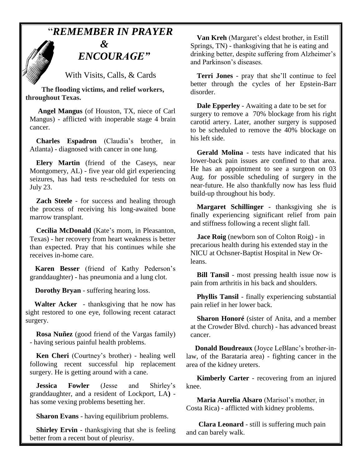## "*REMEMBER IN PRAYER*



With Visits, Calls, & Cards

 **The flooding victims, and relief workers, throughout Texas.**

**Angel Mangus** (of Houston, TX, niece of Carl Mangus) - afflicted with inoperable stage 4 brain cancer.

**Charles Espadron** (Claudia's brother, in Atlanta) - diagnosed with cancer in one lung.

**Elery Martin** (friend of the Caseys, near Montgomery, AL) - five year old girl experiencing seizures, has had tests re-scheduled for tests on July 23.

**Zach Steele** - for success and healing through the process of receiving his long-awaited bone marrow transplant.

**Cecilia McDonald** (Kate's mom, in Pleasanton, Texas) - her recovery from heart weakness is better than expected. Pray that his continues while she receives in-home care.

 **Karen Besser** (friend of Kathy Pederson's granddaughter) - has pneumonia and a lung clot.

 **Dorothy Bryan** - suffering hearing loss.

 **Walter Acker** - thanksgiving that he now has sight restored to one eye, following recent cataract surgery.

**Rosa Nuñez** (good friend of the Vargas family) - having serious painful health problems.

**Ken Cheri** (Courtney's brother) - healing well following recent successful hip replacement surgery. He is getting around with a cane.

**Jessica Fowler** (Jesse and Shirley's granddaughter, and a resident of Lockport, LA**)**  has some vexing problems besetting her.

**Sharon Evans** - having equilibrium problems.

**Shirley Ervin** - thanksgiving that she is feeling better from a recent bout of pleurisy.

**Van Kreh** (Margaret's eldest brother, in Estill Springs, TN) - thanksgiving that he is eating and drinking better, despite suffering from Alzheimer's and Parkinson's diseases.

**Terri Jones** - pray that she'll continue to feel better through the cycles of her Epstein-Barr disorder.

**Dale Epperley** - Awaiting a date to be set for surgery to remove a 70% blockage from his right carotid artery. Later, another surgery is supposed to be scheduled to remove the 40% blockage on his left side.

**Gerald Molina** - tests have indicated that his lower-back pain issues are confined to that area. He has an appointment to see a surgeon on 03 Aug. for possible scheduling of surgery in the near-future. He also thankfully now has less fluid build-up throughout his body.

**Margaret Schillinger** - thanksgiving she is finally experiencing significant relief from pain and stiffness following a recent slight fall.

**Jace Roig** (newborn son of Colton Roig) - in precarious health during his extended stay in the NICU at Ochsner-Baptist Hospital in New Orleans.

**Bill Tansil** - most pressing health issue now is pain from arthritis in his back and shoulders.

**Phyllis Tansil** - finally experiencing substantial pain relief in her lower back.

**Sharon Honoré** (sister of Anita, and a member at the Crowder Blvd. church) - has advanced breast cancer.

 **Donald Boudreaux** (Joyce LeBlanc's brother-inlaw, of the Barataria area) - fighting cancer in the area of the kidney ureters.

 **Kimberly Carter** - recovering from an injured knee.

 **Maria Aurelia Alsaro** (Marisol's mother, in Costa Rica) - afflicted with kidney problems.

 **Clara Leonard** - still is suffering much pain and can barely walk.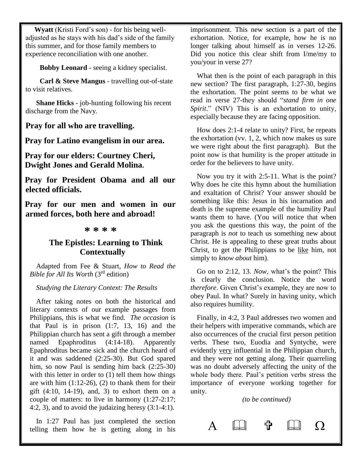**Wyatt** (Kristi Ford's son) - for his being welladjusted as he stays with his dad's side of the family this summer, and for those family members to experience reconciliation with one another.

 **Bobby Leonard** - seeing a kidney specialist.

 **Carl & Steve Mangus** - travelling out-of-state to visit relatives.

 **Shane Hicks** - job-hunting following his recent discharge from the Navy.

**Pray for all who are travelling.**

**Pray for Latino evangelism in our area.**

**Pray for our elders: Courtney Cheri, Dwight Jones and Gerald Molina.**

**Pray for President Obama and all our elected officials.**

**Pray for our men and women in our armed forces, both here and abroad!**

#### **\* \* \* \***

#### **The Epistles: Learning to Think Contextually**

Adapted from Fee & Stuart, *How to Read the Bible for All Its Worth* (3rd edition)

#### *Studying the Literary Context: The Results*

After taking notes on both the historical and literary contexts of our example passages from Philippians, this is what we find. *The occasion* is that Paul is in prison (1:7, 13, 16) and the Philippian church has sent a gift through a member named Epaphroditus (4:14-18). Apparently Epaphroditus became sick and the church heard of it and was saddened (2:25-30). But God spared him, so now Paul is sending him back (2:25-30) with this letter in order to  $(1)$  tell them how things are with him  $(1:12-26)$ ,  $(2)$  to thank them for their gift  $(4:10, 14-19)$ , and, 3) to exhort them on a couple of matters: to live in harmony (1:27-2:17; 4:2, 3), and to avoid the judaizing heresy (3:1-4:1).

In 1:27 Paul has just completed the section telling them how he is getting along in his

imprisonment. This new section is a part of the exhortation. Notice, for example, how he is no longer talking about himself as in verses 12-26. Did you notice this clear shift from I/me/my to you/your in verse 27?

What then is the point of each paragraph in this new section? The first paragraph, 1:27-30, begins the exhortation. The point seems to be what we read in verse 27-they should "*stand firm in one Spirit*." (NIV) This is an exhortation to unity, especially because they are facing opposition.

How does 2:1-4 relate to unity? First, he repeats the exhortation (vv. 1, 2, which now makes us sure we were right about the first paragraph). But the point now is that humility is the proper attitude in order for the believers to have unity.

Now you try it with 2:5-11. What is the point? Why does he cite this hymn about the humiliation and exaltation of Christ? Your answer should be something like this: Jesus in his incarnation and death is the supreme example of the humility Paul wants them to have. (You will notice that when you ask the questions this way, the point of the paragraph is *not* to teach us something new about Christ. He is appealing to these great truths about Christ, to get the Philippians to be like him, not simply to *know about* him).

Go on to 2:12, 13. *Now*, what's the point? This is clearly the conclusion. Notice the word *therefore*. Given Christ's example, they are now to obey Paul. In what? Surely in having unity, which also requires humility.

Finally, in 4:2, 3 Paul addresses two women and their helpers with imperative commands, which are also occurrences of the crucial first person petition verbs. These two, Euodia and Syntyche, were evidently very influential in the Philippian church, and they were not getting along. Their quarreling was no doubt adversely affecting the unity of the whole body there. Paul's petition verbs stress the importance of everyone working together for unity.

*(to be continued)*